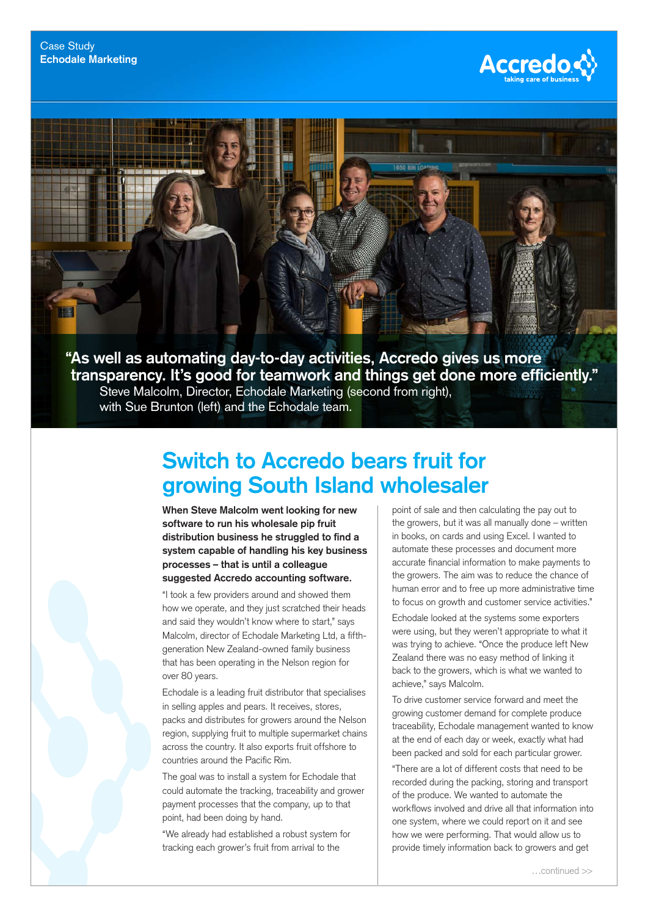

**"As well as automating day-to-day activities, Accredo gives us more transparency. It's good for teamwork and things get done more efficiently."** Steve Malcolm, Director, Echodale Marketing (second from right), with Sue Brunton (left) and the Echodale team.

## **Switch to Accredo bears fruit for growing South Island wholesaler**

**When Steve Malcolm went looking for new software to run his wholesale pip fruit distribution business he struggled to find a system capable of handling his key business processes – that is until a colleague suggested Accredo accounting software.**

"I took a few providers around and showed them how we operate, and they just scratched their heads and said they wouldn't know where to start," says Malcolm, director of Echodale Marketing Ltd, a fifthgeneration New Zealand-owned family business that has been operating in the Nelson region for over 80 years.

Echodale is a leading fruit distributor that specialises in selling apples and pears. It receives, stores, packs and distributes for growers around the Nelson region, supplying fruit to multiple supermarket chains across the country. It also exports fruit offshore to countries around the Pacific Rim.

The goal was to install a system for Echodale that could automate the tracking, traceability and grower payment processes that the company, up to that point, had been doing by hand.

"We already had established a robust system for tracking each grower's fruit from arrival to the

point of sale and then calculating the pay out to the growers, but it was all manually done – written in books, on cards and using Excel. I wanted to automate these processes and document more accurate financial information to make payments to the growers. The aim was to reduce the chance of human error and to free up more administrative time to focus on growth and customer service activities."

Echodale looked at the systems some exporters were using, but they weren't appropriate to what it was trying to achieve. "Once the produce left New Zealand there was no easy method of linking it back to the growers, which is what we wanted to achieve," says Malcolm.

To drive customer service forward and meet the growing customer demand for complete produce traceability, Echodale management wanted to know at the end of each day or week, exactly what had been packed and sold for each particular grower.

"There are a lot of different costs that need to be recorded during the packing, storing and transport of the produce. We wanted to automate the workflows involved and drive all that information into one system, where we could report on it and see how we were performing. That would allow us to provide timely information back to growers and get